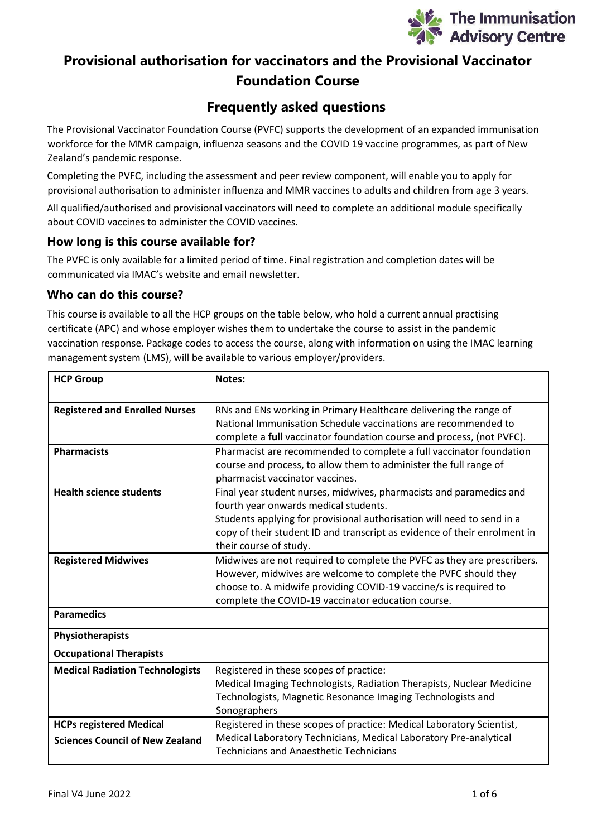

# **Provisional authorisation for vaccinators and the Provisional Vaccinator Foundation Course**

# **Frequently asked questions**

The Provisional Vaccinator Foundation Course (PVFC) supports the development of an expanded immunisation workforce for the MMR campaign, influenza seasons and the COVID 19 vaccine programmes, as part of New Zealand's pandemic response.

Completing the PVFC, including the assessment and peer review component, will enable you to apply for provisional authorisation to administer influenza and MMR vaccines to adults and children from age 3 years.

All qualified/authorised and provisional vaccinators will need to complete an additional module specifically about COVID vaccines to administer the COVID vaccines.

## **How long is this course available for?**

The PVFC is only available for a limited period of time. Final registration and completion dates will be communicated via IMAC's website and email newsletter.

#### **Who can do this course?**

This course is available to all the HCP groups on the table below, who hold a current annual practising certificate (APC) and whose employer wishes them to undertake the course to assist in the pandemic vaccination response. Package codes to access the course, along with information on using the IMAC learning management system (LMS), will be available to various employer/providers.

| <b>HCP Group</b>                                                         | Notes:                                                                                                                                                                                                                                                                                        |
|--------------------------------------------------------------------------|-----------------------------------------------------------------------------------------------------------------------------------------------------------------------------------------------------------------------------------------------------------------------------------------------|
| <b>Registered and Enrolled Nurses</b>                                    | RNs and ENs working in Primary Healthcare delivering the range of<br>National Immunisation Schedule vaccinations are recommended to<br>complete a full vaccinator foundation course and process, (not PVFC).                                                                                  |
| <b>Pharmacists</b>                                                       | Pharmacist are recommended to complete a full vaccinator foundation<br>course and process, to allow them to administer the full range of<br>pharmacist vaccinator vaccines.                                                                                                                   |
| <b>Health science students</b>                                           | Final year student nurses, midwives, pharmacists and paramedics and<br>fourth year onwards medical students.<br>Students applying for provisional authorisation will need to send in a<br>copy of their student ID and transcript as evidence of their enrolment in<br>their course of study. |
| <b>Registered Midwives</b>                                               | Midwives are not required to complete the PVFC as they are prescribers.<br>However, midwives are welcome to complete the PVFC should they<br>choose to. A midwife providing COVID-19 vaccine/s is required to<br>complete the COVID-19 vaccinator education course.                           |
| <b>Paramedics</b>                                                        |                                                                                                                                                                                                                                                                                               |
| Physiotherapists                                                         |                                                                                                                                                                                                                                                                                               |
| <b>Occupational Therapists</b>                                           |                                                                                                                                                                                                                                                                                               |
| <b>Medical Radiation Technologists</b>                                   | Registered in these scopes of practice:<br>Medical Imaging Technologists, Radiation Therapists, Nuclear Medicine<br>Technologists, Magnetic Resonance Imaging Technologists and<br>Sonographers                                                                                               |
| <b>HCPs registered Medical</b><br><b>Sciences Council of New Zealand</b> | Registered in these scopes of practice: Medical Laboratory Scientist,<br>Medical Laboratory Technicians, Medical Laboratory Pre-analytical<br><b>Technicians and Anaesthetic Technicians</b>                                                                                                  |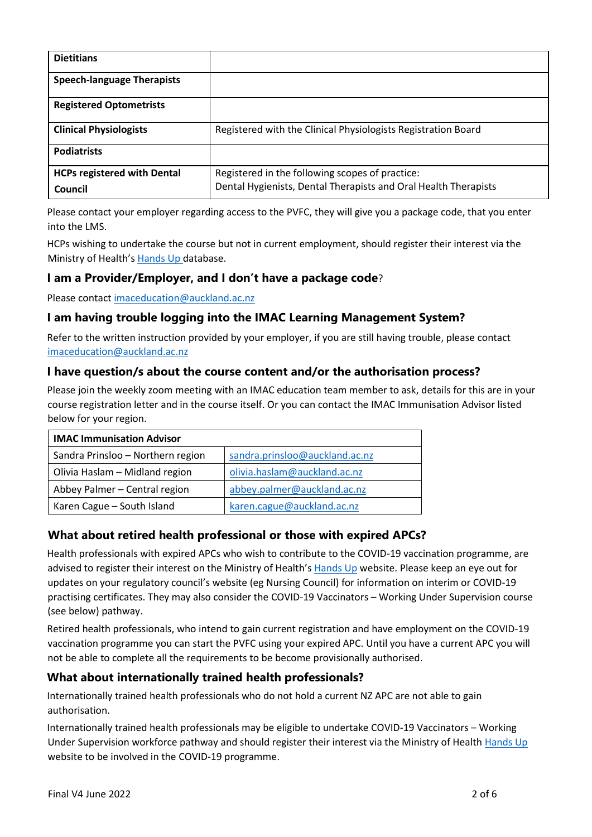| <b>Dietitians</b>                  |                                                                 |
|------------------------------------|-----------------------------------------------------------------|
| <b>Speech-language Therapists</b>  |                                                                 |
| <b>Registered Optometrists</b>     |                                                                 |
| <b>Clinical Physiologists</b>      | Registered with the Clinical Physiologists Registration Board   |
| <b>Podiatrists</b>                 |                                                                 |
| <b>HCPs registered with Dental</b> | Registered in the following scopes of practice:                 |
| Council                            | Dental Hygienists, Dental Therapists and Oral Health Therapists |

Please contact your employer regarding access to the PVFC, they will give you a package code, that you enter into the LMS.

HCPs wishing to undertake the course but not in current employment, should register their interest via the Ministry of Health's [Hands Up](https://www.health.govt.nz/our-work/diseases-and-conditions/covid-19-novel-coronavirus/covid-19-vaccines/covid-19-vaccine-strategy-planning-insights/covid-19-expanding-vaccinator-workforce/join-covid-19-vaccination-teams) database.

## **I am a Provider/Employer, and I don't have a package code**?

Please contac[t imaceducation@auckland.ac.nz](mailto:imaceducation@auckland.ac.nz)

# **I am having trouble logging into the IMAC Learning Management System?**

Refer to the written instruction provided by your employer, if you are still having trouble, please contact [imaceducation@auckland.ac.nz](mailto:imaceducation@auckland.ac.nz)

#### **I have question/s about the course content and/or the authorisation process?**

Please join the weekly zoom meeting with an IMAC education team member to ask, details for this are in your course registration letter and in the course itself. Or you can contact the IMAC Immunisation Advisor listed below for your region.

| <b>IMAC Immunisation Advisor</b>  |                                |  |
|-----------------------------------|--------------------------------|--|
| Sandra Prinsloo - Northern region | sandra.prinsloo@auckland.ac.nz |  |
| Olivia Haslam - Midland region    | olivia.haslam@auckland.ac.nz   |  |
| Abbey Palmer - Central region     | abbey.palmer@auckland.ac.nz    |  |
| Karen Cague - South Island        | karen.cague@auckland.ac.nz     |  |

## **What about retired health professional or those with expired APCs?**

Health professionals with expired APCs who wish to contribute to the COVID-19 vaccination programme, are advised to register their interest on the Ministry of Health's [Hands Up](https://www.health.govt.nz/our-work/diseases-and-conditions/covid-19-novel-coronavirus/covid-19-vaccines/covid-19-vaccine-strategy-planning-insights/covid-19-expanding-vaccinator-workforce/join-covid-19-vaccination-teams) website. Please keep an eye out for updates on your regulatory council's website (eg Nursing Council) for information on interim or COVID-19 practising certificates. They may also consider the COVID-19 Vaccinators – Working Under Supervision course (see below) pathway.

Retired health professionals, who intend to gain current registration and have employment on the COVID-19 vaccination programme you can start the PVFC using your expired APC. Until you have a current APC you will not be able to complete all the requirements to be become provisionally authorised.

## **What about internationally trained health professionals?**

Internationally trained health professionals who do not hold a current NZ APC are not able to gain authorisation.

Internationally trained health professionals may be eligible to undertake COVID-19 Vaccinators – Working Under Supervision workforce pathway and should register their interest via the Ministry of Healt[h Hands Up](https://www.health.govt.nz/our-work/diseases-and-conditions/covid-19-novel-coronavirus/covid-19-vaccines/covid-19-vaccine-strategy-planning-insights/covid-19-expanding-vaccinator-workforce/join-covid-19-vaccination-teams) website to be involved in the COVID-19 programme.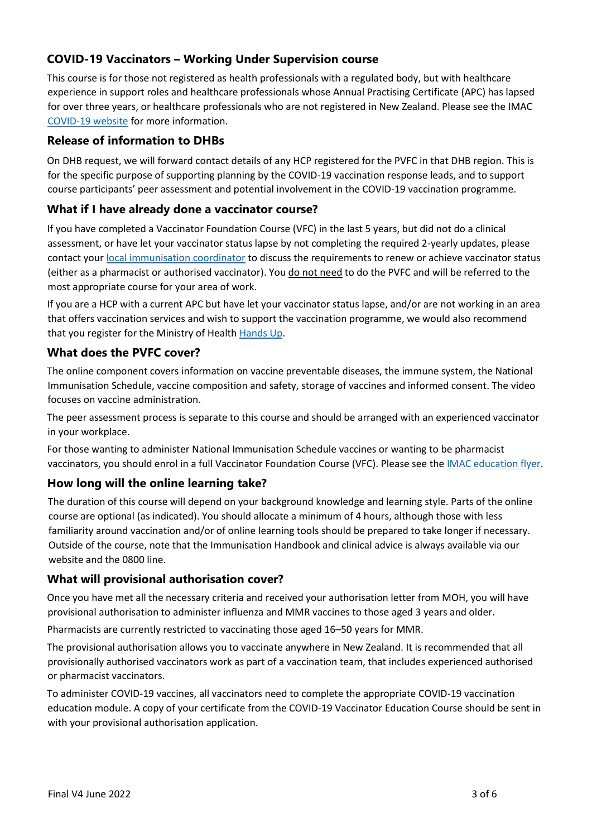# **COVID-19 Vaccinators – Working Under Supervision course**

This course is for those not registered as health professionals with a regulated body, but with healthcare experience in support roles and healthcare professionals whose Annual Practising Certificate (APC) has lapsed for over three years, or healthcare professionals who are not registered in New Zealand. Please see the IMAC [COVID-19 website](https://covid.immune.org.nz/covid-19-vaccinator-working-under-supervision-course) for more information.

## **Release of information to DHBs**

On DHB request, we will forward contact details of any HCP registered for the PVFC in that DHB region. This is for the specific purpose of supporting planning by the COVID-19 vaccination response leads, and to support course participants' peer assessment and potential involvement in the COVID-19 vaccination programme.

## **What if I have already done a vaccinator course?**

If you have completed a Vaccinator Foundation Course (VFC) in the last 5 years, but did not do a clinical assessment, or have let your vaccinator status lapse by not completing the required 2-yearly updates, please contact your [local immunisation coordinator](https://www.immune.org.nz/health-professionals/regional-advisors-local-coordinators) to discuss the requirements to renew or achieve vaccinator status (either as a pharmacist or authorised vaccinator). You do not need to do the PVFC and will be referred to the most appropriate course for your area of work.

If you are a HCP with a current APC but have let your vaccinator status lapse, and/or are not working in an area that offers vaccination services and wish to support the vaccination programme, we would also recommend that you register for the Ministry of Health [Hands Up.](https://www.health.govt.nz/our-work/diseases-and-conditions/covid-19-novel-coronavirus/covid-19-vaccines/covid-19-vaccine-strategy-planning-insights/covid-19-expanding-vaccinator-workforce/join-covid-19-vaccination-teams)

# **What does the PVFC cover?**

The online component covers information on vaccine preventable diseases, the immune system, the National Immunisation Schedule, vaccine composition and safety, storage of vaccines and informed consent. The video focuses on vaccine administration.

The peer assessment process is separate to this course and should be arranged with an experienced vaccinator in your workplace.

For those wanting to administer National Immunisation Schedule vaccines or wanting to be pharmacist vaccinators, you should enrol in a full Vaccinator Foundation Course (VFC). Please see th[e IMAC education flyer.](https://www.immune.org.nz/sites/default/files/IMAC_courses_2022%20FINAL%20FLYER_0.pdf)

## **How long will the online learning take?**

The duration of this course will depend on your background knowledge and learning style. Parts of the online course are optional (as indicated). You should allocate a minimum of 4 hours, although those with less familiarity around vaccination and/or of online learning tools should be prepared to take longer if necessary. Outside of the course, note that the Immunisation Handbook and clinical advice is always available via our website and the 0800 line.

## **What will provisional authorisation cover?**

Once you have met all the necessary criteria and received your authorisation letter from MOH, you will have provisional authorisation to administer influenza and MMR vaccines to those aged 3 years and older.

Pharmacists are currently restricted to vaccinating those aged 16–50 years for MMR.

The provisional authorisation allows you to vaccinate anywhere in New Zealand. It is recommended that all provisionally authorised vaccinators work as part of a vaccination team, that includes experienced authorised or pharmacist vaccinators.

To administer COVID-19 vaccines, all vaccinators need to complete the appropriate COVID-19 vaccination education module. A copy of your certificate from the COVID-19 Vaccinator Education Course should be sent in with your provisional authorisation application.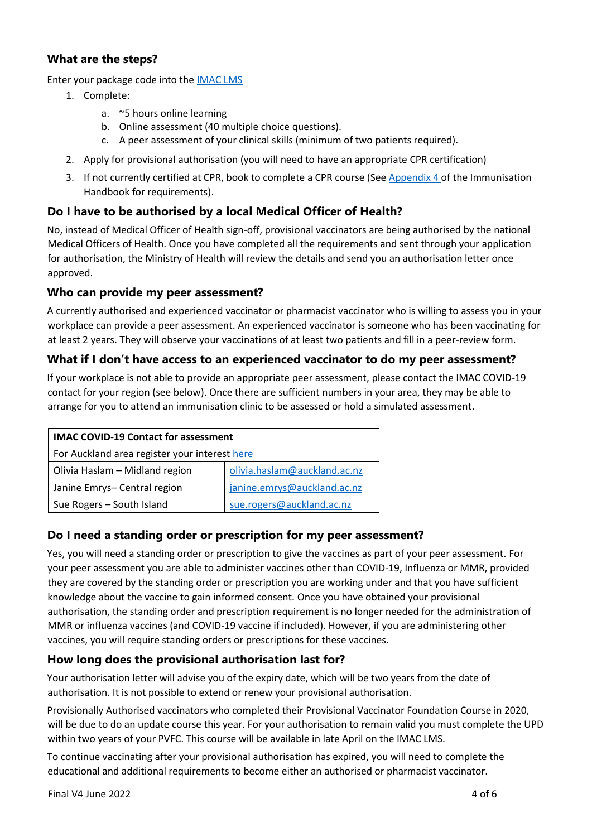## **What are the steps?**

Enter your package code into the [IMAC LMS](https://lms.immune.org.nz/)

- 1. Complete:
	- a. ~5 hours online learning
	- b. Online assessment (40 multiple choice questions).
	- c. A peer assessment of your clinical skills (minimum of two patients required).
- 2. Apply for provisional authorisation (you will need to have an appropriate CPR certification)
- 3. If not currently certified at CPR, book to complete a CPR course (See [Appendix 4 o](https://www.health.govt.nz/our-work/immunisation-handbook-2020/appendix-4-authorisation-vaccinators-and-criteria-pharmacist-vaccinators)f the Immunisation Handbook for requirements).

# **Do I have to be authorised by a local Medical Officer of Health?**

No, instead of Medical Officer of Health sign-off, provisional vaccinators are being authorised by the national Medical Officers of Health. Once you have completed all the requirements and sent through your application for authorisation, the Ministry of Health will review the details and send you an authorisation letter once approved.

## **Who can provide my peer assessment?**

A currently authorised and experienced vaccinator or pharmacist vaccinator who is willing to assess you in your workplace can provide a peer assessment. An experienced vaccinator is someone who has been vaccinating for at least 2 years. They will observe your vaccinations of at least two patients and fill in a peer-review form.

# **What if I don't have access to an experienced vaccinator to do my peer assessment?**

If your workplace is not able to provide an appropriate peer assessment, please contact the IMAC COVID-19 contact for your region (see below). Once there are sufficient numbers in your area, they may be able to arrange for you to attend an immunisation clinic to be assessed or hold a simulated assessment.

| <b>IMAC COVID-19 Contact for assessment</b>   |                              |  |  |
|-----------------------------------------------|------------------------------|--|--|
| For Auckland area register your interest here |                              |  |  |
| Olivia Haslam - Midland region                | olivia.haslam@auckland.ac.nz |  |  |
| Janine Emrys-Central region                   | janine.emrys@auckland.ac.nz  |  |  |
| Sue Rogers - South Island                     | sue.rogers@auckland.ac.nz    |  |  |

## **Do I need a standing order or prescription for my peer assessment?**

Yes, you will need a standing order or prescription to give the vaccines as part of your peer assessment. For your peer assessment you are able to administer vaccines other than COVID-19, Influenza or MMR, provided they are covered by the standing order or prescription you are working under and that you have sufficient knowledge about the vaccine to gain informed consent. Once you have obtained your provisional authorisation, the standing order and prescription requirement is no longer needed for the administration of MMR or influenza vaccines (and COVID-19 vaccine if included). However, if you are administering other vaccines, you will require standing orders or prescriptions for these vaccines.

# **How long does the provisional authorisation last for?**

Your authorisation letter will advise you of the expiry date, which will be two years from the date of authorisation. It is not possible to extend or renew your provisional authorisation.

Provisionally Authorised vaccinators who completed their Provisional Vaccinator Foundation Course in 2020, will be due to do an update course this year. For your authorisation to remain valid you must complete the UPD within two years of your PVFC. This course will be available in late April on the IMAC LMS.

To continue vaccinating after your provisional authorisation has expired, you will need to complete the educational and additional requirements to become either an authorised or pharmacist vaccinator.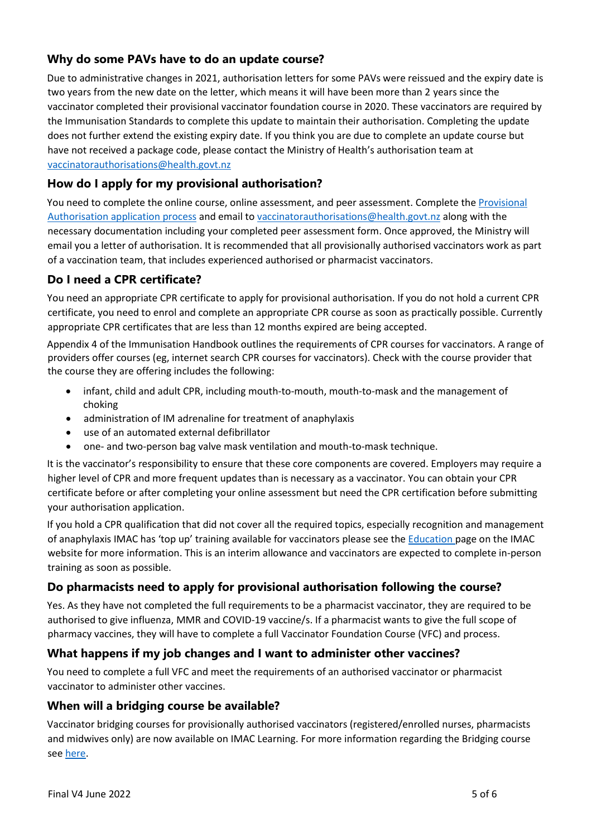# **Why do some PAVs have to do an update course?**

Due to administrative changes in 2021, authorisation letters for some PAVs were reissued and the expiry date is two years from the new date on the letter, which means it will have been more than 2 years since the vaccinator completed their provisional vaccinator foundation course in 2020. These vaccinators are required by the Immunisation Standards to complete this update to maintain their authorisation. Completing the update does not further extend the existing expiry date. If you think you are due to complete an update course but have not received a package code, please contact the Ministry of Health's authorisation team at [vaccinatorauthorisations@health.govt.nz](mailto:vaccinatorauthorisations@health.govt.nz)

# **How do I apply for my provisional authorisation?**

You need to complete the online course, online assessment, and peer assessment. Complete the Provisional [Authorisation application process](https://www.health.govt.nz/our-work/preventative-health-wellness/immunisation/provisional-vaccinator-foundation-course-pvfc) and email t[o vaccinatorauthorisations@health.govt.nz](mailto:vaccinatorauthorisations@health.govt.nz) along with the necessary documentation including your completed peer assessment form. Once approved, the Ministry will email you a letter of authorisation. It is recommended that all provisionally authorised vaccinators work as part of a vaccination team, that includes experienced authorised or pharmacist vaccinators.

# **Do I need a CPR certificate?**

You need an appropriate CPR certificate to apply for provisional authorisation. If you do not hold a current CPR certificate, you need to enrol and complete an appropriate CPR course as soon as practically possible. Currently appropriate CPR certificates that are less than 12 months expired are being accepted.

[Appendix 4](https://www.health.govt.nz/our-work/immunisation-handbook-2020/appendix-4-authorisation-vaccinators-and-criteria-pharmacist-vaccinators) of th[e](https://www.health.govt.nz/publication/immunisation-handbook-2017) Immunisation Handbook outlines the requirements of CPR courses for vaccinators. A range of providers offer courses (eg, internet search CPR courses for vaccinators). Check with the course provider that the course they are offering includes the following:

- infant, child and adult CPR, including mouth-to-mouth, mouth-to-mask and the management of choking
- administration of IM adrenaline for treatment of anaphylaxis
- use of an automated external defibrillator
- one- and two-person bag valve mask ventilation and mouth-to-mask technique.

It is the vaccinator's responsibility to ensure that these core components are covered. Employers may require a higher level of CPR and more frequent updates than is necessary as a vaccinator. You can obtain your CPR certificate before or after completing your online assessment but need the CPR certification before submitting your authorisation application.

If you hold a CPR qualification that did not cover all the required topics, especially recognition and management of anaphylaxis IMAC has 'top up' training available for vaccinators please see the [Education p](https://www.immune.org.nz/health-professionals/education)age on the IMAC website for more information. This is an interim allowance and vaccinators are expected to complete in-person training as soon as possible.

# **Do pharmacists need to apply for provisional authorisation following the course?**

Yes. As they have not completed the full requirements to be a pharmacist vaccinator, they are required to be authorised to give influenza, MMR and COVID-19 vaccine/s. If a pharmacist wants to give the full scope of pharmacy vaccines, they will have to complete a full Vaccinator Foundation Course (VFC) and process.

# **What happens if my job changes and I want to administer other vaccines?**

You need to complete a full VFC and meet the requirements of an authorised vaccinator or pharmacist vaccinator to administer other vaccines.

# **When will a bridging course be available?**

Vaccinator bridging courses for provisionally authorised vaccinators (registered/enrolled nurses, pharmacists and midwives only) are now available on IMAC Learning. For more information regarding the Bridging course se[e here.](https://www.immune.org.nz/vaccinator-bridging-course)